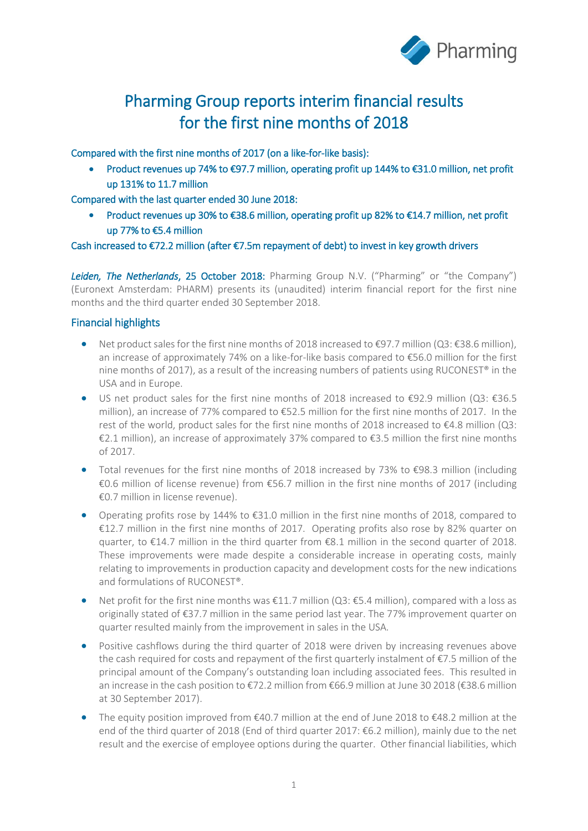

# Pharming Group reports interim financial results for the first nine months of 2018

Compared with the first nine months of 2017 (on a like-for-like basis):

• Product revenues up 74% to €97.7 million, operating profit up 144% to €31.0 million, net profit up 131% to 11.7 million

Compared with the last quarter ended 30 June 2018:

• Product revenues up 30% to €38.6 million, operating profit up 82% to €14.7 million, net profit up 77% to €5.4 million

## Cash increased to €72.2 million (after €7.5m repayment of debt) to invest in key growth drivers

*Leiden, The Netherlands*, 25 October 2018: Pharming Group N.V. ("Pharming" or "the Company") (Euronext Amsterdam: PHARM) presents its (unaudited) interim financial report for the first nine months and the third quarter ended 30 September 2018.

## Financial highlights

- Net product sales for the first nine months of 2018 increased to €97.7 million (Q3: €38.6 million), an increase of approximately 74% on a like-for-like basis compared to €56.0 million for the first nine months of 2017), as a result of the increasing numbers of patients using RUCONEST® in the USA and in Europe.
- US net product sales for the first nine months of 2018 increased to €92.9 million (Q3: €36.5 million), an increase of 77% compared to €52.5 million for the first nine months of 2017. In the rest of the world, product sales for the first nine months of 2018 increased to €4.8 million (Q3: €2.1 million), an increase of approximately 37% compared to €3.5 million the first nine months of 2017.
- Total revenues for the first nine months of 2018 increased by 73% to €98.3 million (including €0.6 million of license revenue) from €56.7 million in the first nine months of 2017 (including €0.7 million in license revenue).
- Operating profits rose by 144% to €31.0 million in the first nine months of 2018, compared to €12.7 million in the first nine months of 2017. Operating profits also rose by 82% quarter on quarter, to €14.7 million in the third quarter from €8.1 million in the second quarter of 2018. These improvements were made despite a considerable increase in operating costs, mainly relating to improvements in production capacity and development costs for the new indications and formulations of RUCONEST®.
- Net profit for the first nine months was  $\epsilon$ 11.7 million (Q3: $\epsilon$ 5.4 million), compared with a loss as originally stated of €37.7 million in the same period last year. The 77% improvement quarter on quarter resulted mainly from the improvement in sales in the USA.
- Positive cashflows during the third quarter of 2018 were driven by increasing revenues above the cash required for costs and repayment of the first quarterly instalment of €7.5 million of the principal amount of the Company's outstanding loan including associated fees. This resulted in an increase in the cash position to €72.2 million from €66.9 million at June 30 2018 (€38.6 million at 30 September 2017).
- The equity position improved from €40.7 million at the end of June 2018 to €48.2 million at the end of the third quarter of 2018 (End of third quarter 2017: €6.2 million), mainly due to the net result and the exercise of employee options during the quarter. Other financial liabilities, which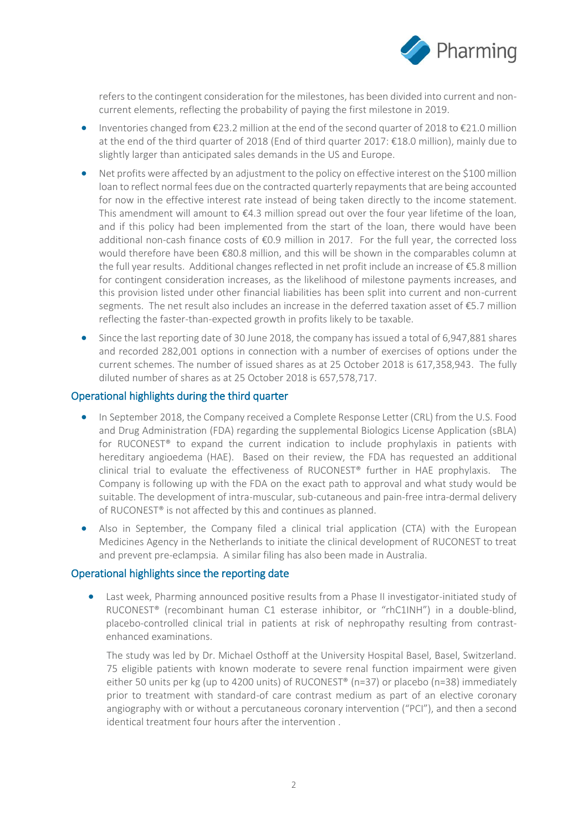

refers to the contingent consideration for the milestones, has been divided into current and noncurrent elements, reflecting the probability of paying the first milestone in 2019.

- Inventories changed from €23.2 million at the end of the second quarter of 2018 to €21.0 million at the end of the third quarter of 2018 (End of third quarter 2017: €18.0 million), mainly due to slightly larger than anticipated sales demands in the US and Europe.
- Net profits were affected by an adjustment to the policy on effective interest on the \$100 million loan to reflect normal fees due on the contracted quarterly repayments that are being accounted for now in the effective interest rate instead of being taken directly to the income statement. This amendment will amount to €4.3 million spread out over the four year lifetime of the loan, and if this policy had been implemented from the start of the loan, there would have been additional non-cash finance costs of €0.9 million in 2017. For the full year, the corrected loss would therefore have been €80.8 million, and this will be shown in the comparables column at the full year results. Additional changes reflected in net profit include an increase of €5.8 million for contingent consideration increases, as the likelihood of milestone payments increases, and this provision listed under other financial liabilities has been split into current and non-current segments. The net result also includes an increase in the deferred taxation asset of €5.7 million reflecting the faster-than-expected growth in profits likely to be taxable.
- Since the last reporting date of 30 June 2018, the company has issued a total of 6,947,881 shares and recorded 282,001 options in connection with a number of exercises of options under the current schemes. The number of issued shares as at 25 October 2018 is 617,358,943. The fully diluted number of shares as at 25 October 2018 is 657,578,717.

#### Operational highlights during the third quarter

- In September 2018, the Company received a Complete Response Letter (CRL) from the U.S. Food and Drug Administration (FDA) regarding the supplemental Biologics License Application (sBLA) for RUCONEST® to expand the current indication to include prophylaxis in patients with hereditary angioedema (HAE). Based on their review, the FDA has requested an additional clinical trial to evaluate the effectiveness of RUCONEST® further in HAE prophylaxis. The Company is following up with the FDA on the exact path to approval and what study would be suitable. The development of intra-muscular, sub-cutaneous and pain-free intra-dermal delivery of RUCONEST® is not affected by this and continues as planned.
- Also in September, the Company filed a clinical trial application (CTA) with the European Medicines Agency in the Netherlands to initiate the clinical development of RUCONEST to treat and prevent pre-eclampsia. A similar filing has also been made in Australia.

## Operational highlights since the reporting date

• Last week, Pharming announced positive results from a Phase II investigator-initiated study of RUCONEST® (recombinant human C1 esterase inhibitor, or "rhC1INH") in a double-blind, placebo-controlled clinical trial in patients at risk of nephropathy resulting from contrastenhanced examinations.

The study was led by Dr. Michael Osthoff at the University Hospital Basel, Basel, Switzerland. 75 eligible patients with known moderate to severe renal function impairment were given either 50 units per kg (up to 4200 units) of RUCONEST® (n=37) or placebo (n=38) immediately prior to treatment with standard-of care contrast medium as part of an elective coronary angiography with or without a percutaneous coronary intervention ("PCI"), and then a second identical treatment four hours after the intervention .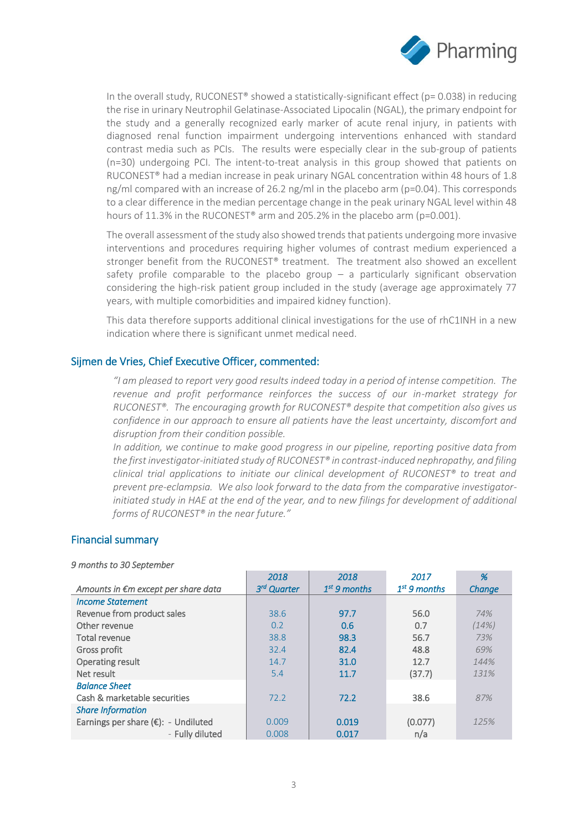

In the overall study, RUCONEST® showed a statistically-significant effect ( $p= 0.038$ ) in reducing the rise in urinary Neutrophil Gelatinase-Associated Lipocalin (NGAL), the primary endpoint for the study and a generally recognized early marker of acute renal injury, in patients with diagnosed renal function impairment undergoing interventions enhanced with standard contrast media such as PCIs. The results were especially clear in the sub-group of patients (n=30) undergoing PCI. The intent-to-treat analysis in this group showed that patients on RUCONEST® had a median increase in peak urinary NGAL concentration within 48 hours of 1.8 ng/ml compared with an increase of 26.2 ng/ml in the placebo arm (p=0.04). This corresponds to a clear difference in the median percentage change in the peak urinary NGAL level within 48 hours of 11.3% in the RUCONEST<sup>®</sup> arm and 205.2% in the placebo arm (p=0.001).

The overall assessment of the study also showed trends that patients undergoing more invasive interventions and procedures requiring higher volumes of contrast medium experienced a stronger benefit from the RUCONEST® treatment. The treatment also showed an excellent safety profile comparable to the placebo group  $-$  a particularly significant observation considering the high-risk patient group included in the study (average age approximately 77 years, with multiple comorbidities and impaired kidney function).

This data therefore supports additional clinical investigations for the use of rhC1INH in a new indication where there is significant unmet medical need.

## Sijmen de Vries, Chief Executive Officer, commented:

*"I am pleased to report very good results indeed today in a period of intense competition. The revenue and profit performance reinforces the success of our in-market strategy for RUCONEST®. The encouraging growth for RUCONEST® despite that competition also gives us confidence in our approach to ensure all patients have the least uncertainty, discomfort and disruption from their condition possible.* 

*In addition, we continue to make good progress in our pipeline, reporting positive data from the first investigator-initiated study of RUCONEST® in contrast-induced nephropathy, and filing clinical trial applications to initiate our clinical development of RUCONEST® to treat and prevent pre-eclampsia. We also look forward to the data from the comparative investigatorinitiated study in HAE at the end of the year, and to new filings for development of additional forms of RUCONEST® in the near future."*

## Financial summary

#### *9 months to 30 September*

|                                     | 2018                    | 2018           | 2017           | %      |
|-------------------------------------|-------------------------|----------------|----------------|--------|
| Amounts in €m except per share data | 3 <sup>rd</sup> Quarter | $1st$ 9 months | $1st$ 9 months | Change |
| <b>Income Statement</b>             |                         |                |                |        |
| Revenue from product sales          | 38.6                    | 97.7           | 56.0           | 74%    |
| Other revenue                       | 0.2                     | 0.6            | 0.7            | (14%)  |
| Total revenue                       | 38.8                    | 98.3           | 56.7           | 73%    |
| Gross profit                        | 32.4                    | 82.4           | 48.8           | 69%    |
| Operating result                    | 14.7                    | 31.0           | 12.7           | 144%   |
| Net result                          | 5.4                     | 11.7           | (37.7)         | 131%   |
| <b>Balance Sheet</b>                |                         |                |                |        |
| Cash & marketable securities        | 72.2                    | 72.2           | 38.6           | 87%    |
| <b>Share Information</b>            |                         |                |                |        |
| Earnings per share (€): - Undiluted | 0.009                   | 0.019          | (0.077)        | 125%   |
| - Fully diluted                     | 0.008                   | 0.017          | n/a            |        |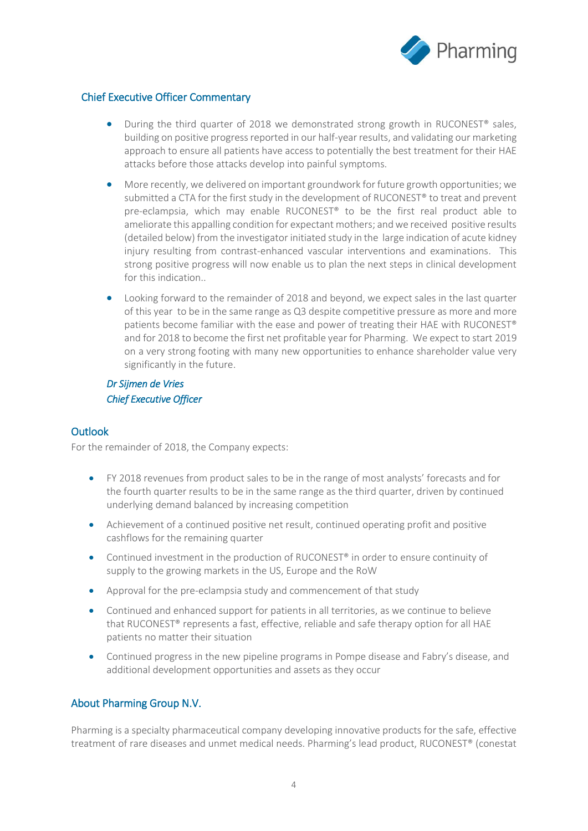

## Chief Executive Officer Commentary

- During the third quarter of 2018 we demonstrated strong growth in RUCONEST® sales, building on positive progress reported in our half-year results, and validating our marketing approach to ensure all patients have access to potentially the best treatment for their HAE attacks before those attacks develop into painful symptoms.
- More recently, we delivered on important groundwork for future growth opportunities; we submitted a CTA for the first study in the development of RUCONEST® to treat and prevent pre-eclampsia, which may enable RUCONEST® to be the first real product able to ameliorate this appalling condition for expectant mothers; and we received positive results (detailed below) from the investigator initiated study in the large indication of acute kidney injury resulting from contrast-enhanced vascular interventions and examinations. This strong positive progress will now enable us to plan the next steps in clinical development for this indication..
- Looking forward to the remainder of 2018 and beyond, we expect sales in the last quarter of this year to be in the same range as Q3 despite competitive pressure as more and more patients become familiar with the ease and power of treating their HAE with RUCONEST® and for 2018 to become the first net profitable year for Pharming. We expect to start 2019 on a very strong footing with many new opportunities to enhance shareholder value very significantly in the future.

## *Dr Sijmen de Vries Chief Executive Officer*

## **Outlook**

For the remainder of 2018, the Company expects:

- FY 2018 revenues from product sales to be in the range of most analysts' forecasts and for the fourth quarter results to be in the same range as the third quarter, driven by continued underlying demand balanced by increasing competition
- Achievement of a continued positive net result, continued operating profit and positive cashflows for the remaining quarter
- Continued investment in the production of RUCONEST® in order to ensure continuity of supply to the growing markets in the US, Europe and the RoW
- Approval for the pre-eclampsia study and commencement of that study
- Continued and enhanced support for patients in all territories, as we continue to believe that RUCONEST® represents a fast, effective, reliable and safe therapy option for all HAE patients no matter their situation
- Continued progress in the new pipeline programs in Pompe disease and Fabry's disease, and additional development opportunities and assets as they occur

## About Pharming Group N.V.

Pharming is a specialty pharmaceutical company developing innovative products for the safe, effective treatment of rare diseases and unmet medical needs. Pharming's lead product, RUCONEST® (conestat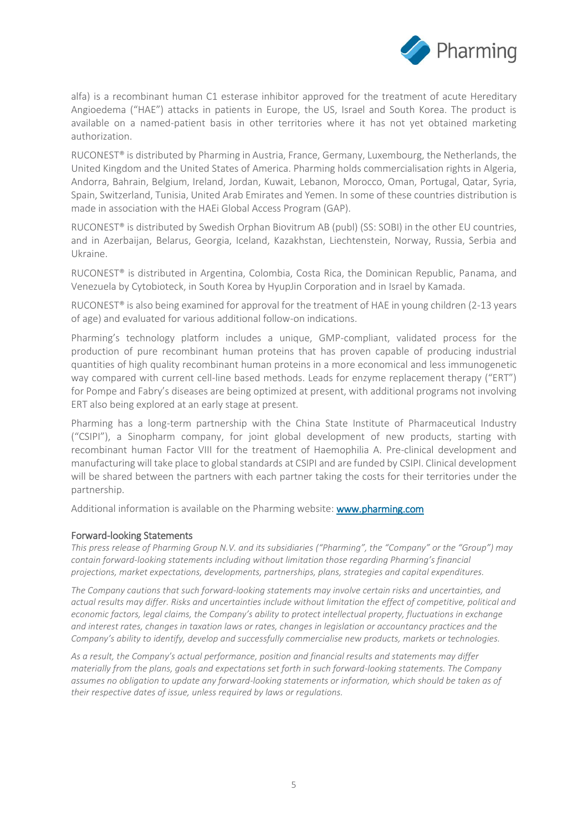

alfa) is a recombinant human C1 esterase inhibitor approved for the treatment of acute Hereditary Angioedema ("HAE") attacks in patients in Europe, the US, Israel and South Korea. The product is available on a named-patient basis in other territories where it has not yet obtained marketing authorization.

RUCONEST® is distributed by Pharming in Austria, France, Germany, Luxembourg, the Netherlands, the United Kingdom and the United States of America. Pharming holds commercialisation rights in Algeria, Andorra, Bahrain, Belgium, Ireland, Jordan, Kuwait, Lebanon, Morocco, Oman, Portugal, Qatar, Syria, Spain, Switzerland, Tunisia, United Arab Emirates and Yemen. In some of these countries distribution is made in association with the HAEi Global Access Program (GAP).

RUCONEST® is distributed by Swedish Orphan Biovitrum AB (publ) (SS: SOBI) in the other EU countries, and in Azerbaijan, Belarus, Georgia, Iceland, Kazakhstan, Liechtenstein, Norway, Russia, Serbia and Ukraine.

RUCONEST® is distributed in Argentina, Colombia, Costa Rica, the Dominican Republic, Panama, and Venezuela by Cytobioteck, in South Korea by HyupJin Corporation and in Israel by Kamada.

RUCONEST® is also being examined for approval for the treatment of HAE in young children (2-13 years of age) and evaluated for various additional follow-on indications.

Pharming's technology platform includes a unique, GMP-compliant, validated process for the production of pure recombinant human proteins that has proven capable of producing industrial quantities of high quality recombinant human proteins in a more economical and less immunogenetic way compared with current cell-line based methods. Leads for enzyme replacement therapy ("ERT") for Pompe and Fabry's diseases are being optimized at present, with additional programs not involving ERT also being explored at an early stage at present.

Pharming has a long-term partnership with the China State Institute of Pharmaceutical Industry ("CSIPI"), a Sinopharm company, for joint global development of new products, starting with recombinant human Factor VIII for the treatment of Haemophilia A. Pre-clinical development and manufacturing will take place to global standards at CSIPI and are funded by CSIPI. Clinical development will be shared between the partners with each partner taking the costs for their territories under the partnership.

Additional information is available on the Pharming website: [www.pharming.com](http://www.pharming.com/) 

#### Forward-looking Statements

*This press release of Pharming Group N.V. and its subsidiaries ("Pharming", the "Company" or the "Group") may contain forward-looking statements including without limitation those regarding Pharming's financial projections, market expectations, developments, partnerships, plans, strategies and capital expenditures.*

*The Company cautions that such forward-looking statements may involve certain risks and uncertainties, and actual results may differ. Risks and uncertainties include without limitation the effect of competitive, political and economic factors, legal claims, the Company's ability to protect intellectual property, fluctuations in exchange and interest rates, changes in taxation laws or rates, changes in legislation or accountancy practices and the Company's ability to identify, develop and successfully commercialise new products, markets or technologies.*

*As a result, the Company's actual performance, position and financial results and statements may differ materially from the plans, goals and expectations set forth in such forward-looking statements. The Company assumes no obligation to update any forward-looking statements or information, which should be taken as of their respective dates of issue, unless required by laws or regulations.*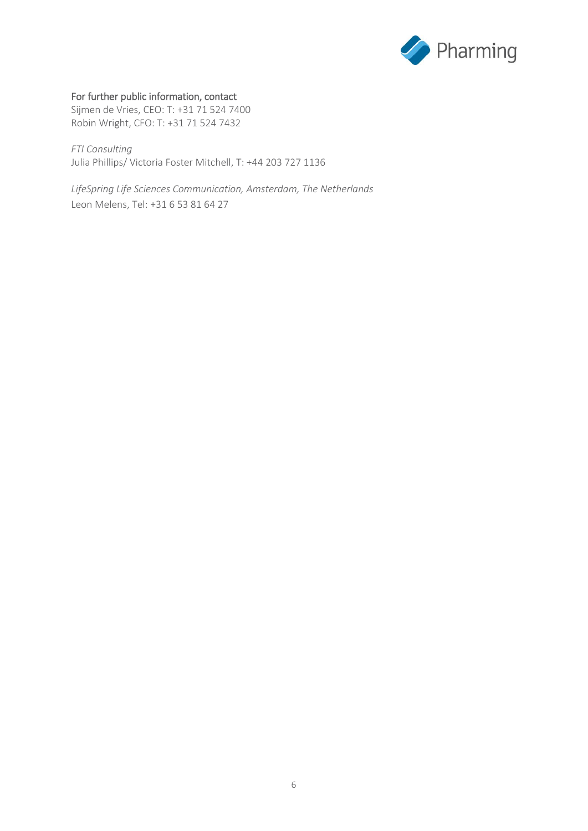

## For further public information, contact

Sijmen de Vries, CEO: T: +31 71 524 7400 Robin Wright, CFO: T: +31 71 524 7432

*FTI Consulting* Julia Phillips/ Victoria Foster Mitchell, T: +44 203 727 1136

*LifeSpring Life Sciences Communication, Amsterdam, The Netherlands* Leon Melens, Tel: +31 6 53 81 64 27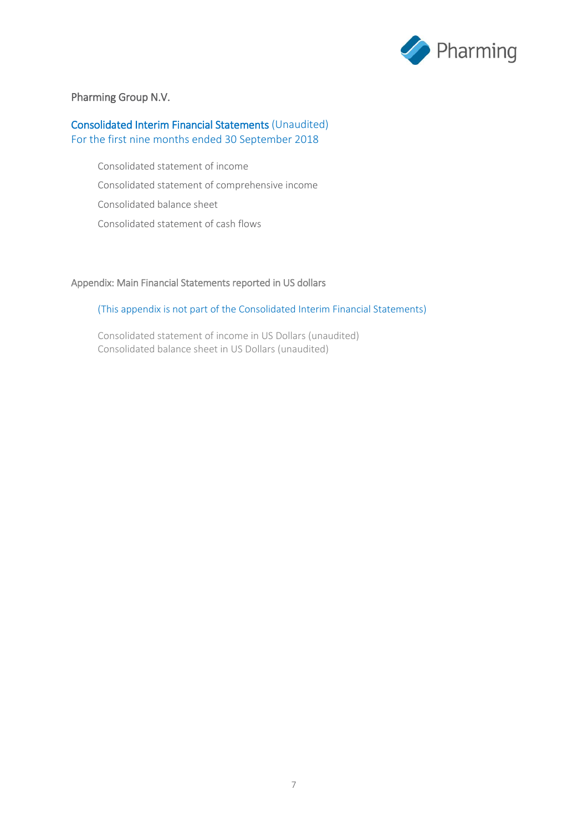

## Pharming Group N.V.

## Consolidated Interim Financial Statements (Unaudited) For the first nine months ended 30 September 2018

Consolidated statement of income Consolidated statement of comprehensive income Consolidated balance sheet Consolidated statement of cash flows

## Appendix: Main Financial Statements reported in US dollars

## (This appendix is not part of the Consolidated Interim Financial Statements)

Consolidated statement of income in US Dollars (unaudited) Consolidated balance sheet in US Dollars (unaudited)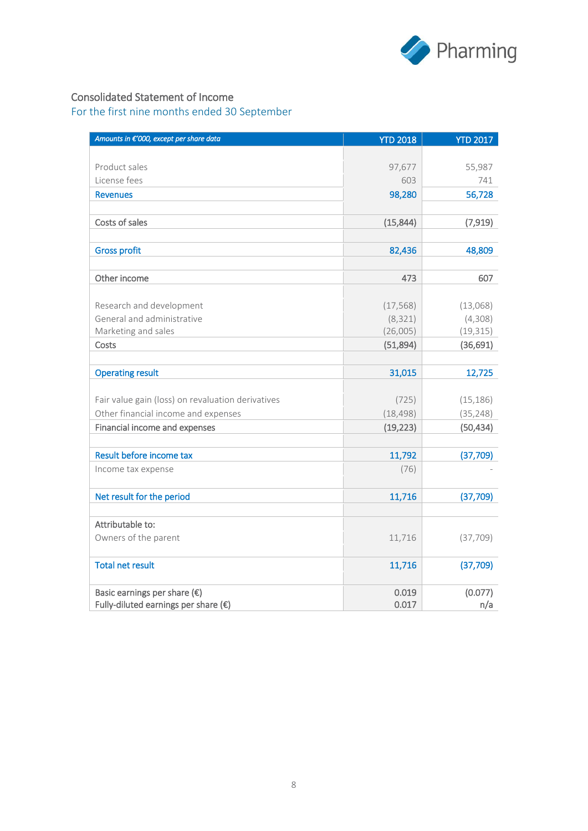

## Consolidated Statement of Income

| Amounts in €'000, except per share data           | <b>YTD 2018</b> | <b>YTD 2017</b> |
|---------------------------------------------------|-----------------|-----------------|
|                                                   |                 |                 |
| Product sales                                     | 97,677          | 55,987          |
| License fees                                      | 603             | 741             |
| <b>Revenues</b>                                   | 98,280          | 56,728          |
|                                                   |                 |                 |
| Costs of sales                                    | (15, 844)       | (7, 919)        |
|                                                   |                 |                 |
| <b>Gross profit</b>                               | 82,436          | 48,809          |
|                                                   |                 |                 |
| Other income                                      | 473             | 607             |
|                                                   |                 |                 |
| Research and development                          | (17, 568)       | (13,068)        |
| General and administrative                        | (8, 321)        | (4,308)         |
| Marketing and sales                               | (26,005)        | (19, 315)       |
| Costs                                             | (51,894)        | (36, 691)       |
|                                                   |                 |                 |
| <b>Operating result</b>                           | 31,015          | 12,725          |
|                                                   |                 |                 |
| Fair value gain (loss) on revaluation derivatives | (725)           | (15, 186)       |
| Other financial income and expenses               | (18, 498)       | (35, 248)       |
| Financial income and expenses                     | (19, 223)       | (50, 434)       |
|                                                   |                 |                 |
| Result before income tax                          | 11,792          | (37,709)        |
| Income tax expense                                | (76)            |                 |
|                                                   |                 |                 |
| Net result for the period                         | 11,716          | (37,709)        |
|                                                   |                 |                 |
| Attributable to:                                  |                 |                 |
| Owners of the parent                              | 11,716          | (37, 709)       |
|                                                   |                 |                 |
| <b>Total net result</b>                           | 11,716          | (37,709)        |
| Basic earnings per share $(\epsilon)$             | 0.019           | (0.077)         |
| Fully-diluted earnings per share $(\epsilon)$     | 0.017           | n/a             |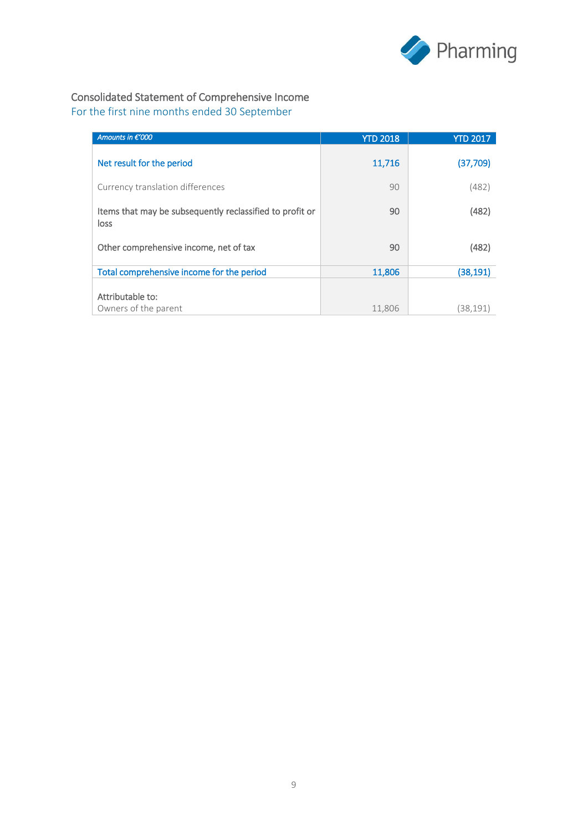

# Consolidated Statement of Comprehensive Income

| Amounts in €'000                                                 | <b>YTD 2018</b> | <b>YTD 2017</b> |
|------------------------------------------------------------------|-----------------|-----------------|
| Net result for the period                                        | 11,716          | (37,709)        |
| Currency translation differences                                 | 90              | (482)           |
| Items that may be subsequently reclassified to profit or<br>loss | 90              | (482)           |
| Other comprehensive income, net of tax                           | 90              | (482)           |
| Total comprehensive income for the period                        | 11,806          | (38, 191)       |
| Attributable to:<br>Owners of the parent                         | 11,806          | (38,191)        |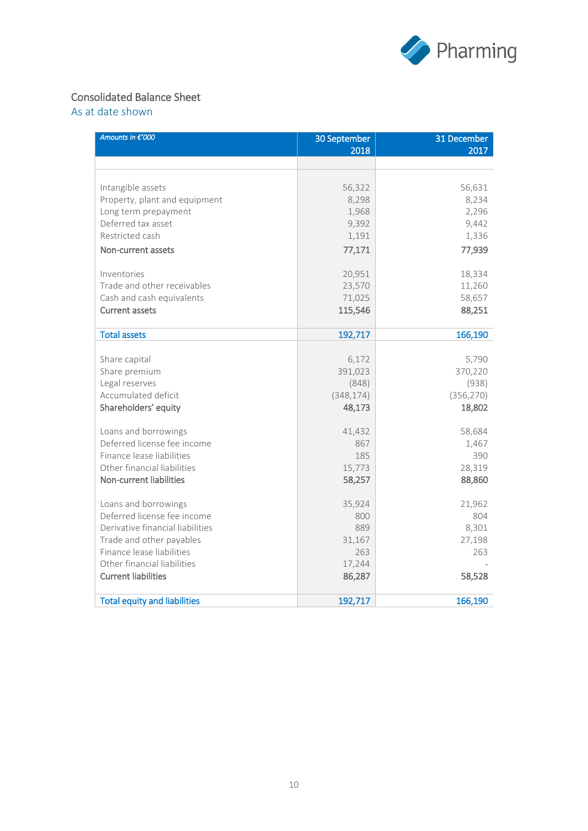

# Consolidated Balance Sheet

As at date shown

| Amounts in €'000                    | 30 September<br>2018 | 31 December<br>2017 |
|-------------------------------------|----------------------|---------------------|
|                                     |                      |                     |
|                                     |                      |                     |
| Intangible assets                   | 56,322               | 56,631              |
| Property, plant and equipment       | 8,298                | 8,234               |
| Long term prepayment                | 1,968                | 2,296               |
| Deferred tax asset                  | 9,392                | 9,442               |
| Restricted cash                     | 1,191                | 1,336               |
| Non-current assets                  | 77,171               | 77,939              |
| Inventories                         | 20,951               | 18,334              |
| Trade and other receivables         | 23,570               | 11,260              |
| Cash and cash equivalents           | 71,025               | 58,657              |
| <b>Current assets</b>               | 115,546              | 88,251              |
|                                     |                      |                     |
| <b>Total assets</b>                 | 192,717              | 166,190             |
| Share capital                       | 6,172                | 5,790               |
| Share premium                       | 391,023              | 370,220             |
| Legal reserves                      | (848)                | (938)               |
| Accumulated deficit                 | (348, 174)           | (356, 270)          |
| Shareholders' equity                | 48,173               | 18,802              |
|                                     |                      |                     |
| Loans and borrowings                | 41,432               | 58,684              |
| Deferred license fee income         | 867                  | 1,467               |
| Finance lease liabilities           | 185                  | 390                 |
| Other financial liabilities         | 15,773               | 28,319              |
| Non-current liabilities             | 58,257               | 88,860              |
| Loans and borrowings                | 35,924               | 21,962              |
| Deferred license fee income         | 800                  | 804                 |
| Derivative financial liabilities    | 889                  | 8,301               |
| Trade and other payables            | 31,167               | 27,198              |
| Finance lease liabilities           | 263                  | 263                 |
| Other financial liabilities         | 17,244               |                     |
| <b>Current liabilities</b>          | 86,287               | 58,528              |
| <b>Total equity and liabilities</b> | 192,717              | 166,190             |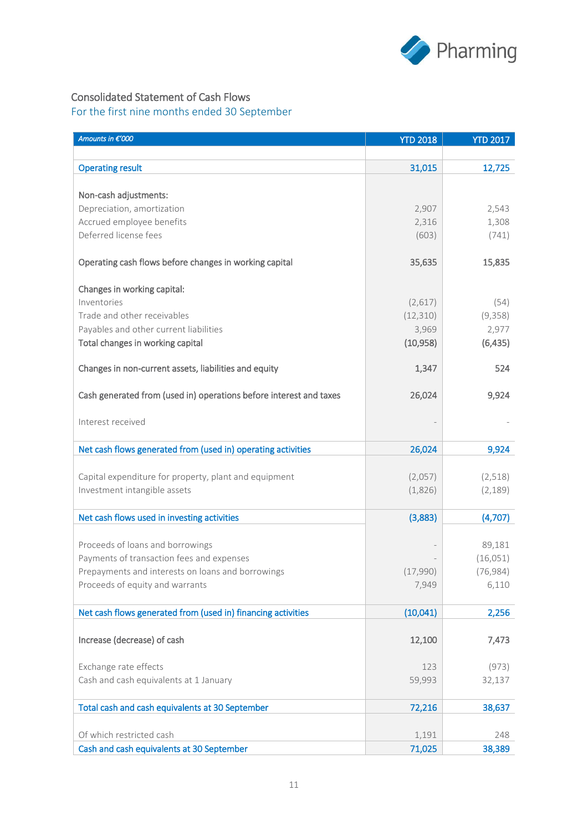

# Consolidated Statement of Cash Flows

| 31,015<br><b>Operating result</b><br>12,725<br>Non-cash adjustments:<br>Depreciation, amortization<br>2,907<br>2,543<br>Accrued employee benefits<br>2,316<br>1,308<br>Deferred license fees<br>(603)<br>(741)<br>Operating cash flows before changes in working capital<br>35,635<br>15,835<br>Changes in working capital:<br>Inventories<br>(2,617)<br>(54)<br>Trade and other receivables<br>(9,358)<br>(12, 310)<br>Payables and other current liabilities<br>3,969<br>2,977<br>Total changes in working capital<br>(10, 958)<br>(6, 435)<br>Changes in non-current assets, liabilities and equity<br>1,347<br>524<br>Cash generated from (used in) operations before interest and taxes<br>26,024<br>9,924<br>Interest received<br>Net cash flows generated from (used in) operating activities<br>26,024<br>9,924<br>Capital expenditure for property, plant and equipment<br>(2,057)<br>(2,518)<br>Investment intangible assets<br>(1,826)<br>(2, 189)<br>Net cash flows used in investing activities<br>(3,883)<br>(4,707)<br>Proceeds of loans and borrowings<br>89,181<br>Payments of transaction fees and expenses<br>(16, 051)<br>(76, 984)<br>Prepayments and interests on loans and borrowings<br>(17,990)<br>Proceeds of equity and warrants<br>7.949<br>6,110<br>Net cash flows generated from (used in) financing activities<br>(10,041)<br>2,256<br>Increase (decrease) of cash<br>12,100<br>7,473<br>Exchange rate effects<br>(973)<br>123<br>Cash and cash equivalents at 1 January<br>59,993<br>32,137<br>Total cash and cash equivalents at 30 September<br>38,637<br>72,216 | Amounts in €'000         | <b>YTD 2018</b> | <b>YTD 2017</b> |
|----------------------------------------------------------------------------------------------------------------------------------------------------------------------------------------------------------------------------------------------------------------------------------------------------------------------------------------------------------------------------------------------------------------------------------------------------------------------------------------------------------------------------------------------------------------------------------------------------------------------------------------------------------------------------------------------------------------------------------------------------------------------------------------------------------------------------------------------------------------------------------------------------------------------------------------------------------------------------------------------------------------------------------------------------------------------------------------------------------------------------------------------------------------------------------------------------------------------------------------------------------------------------------------------------------------------------------------------------------------------------------------------------------------------------------------------------------------------------------------------------------------------------------------------------------------------------------------------------|--------------------------|-----------------|-----------------|
|                                                                                                                                                                                                                                                                                                                                                                                                                                                                                                                                                                                                                                                                                                                                                                                                                                                                                                                                                                                                                                                                                                                                                                                                                                                                                                                                                                                                                                                                                                                                                                                                    |                          |                 |                 |
|                                                                                                                                                                                                                                                                                                                                                                                                                                                                                                                                                                                                                                                                                                                                                                                                                                                                                                                                                                                                                                                                                                                                                                                                                                                                                                                                                                                                                                                                                                                                                                                                    |                          |                 |                 |
|                                                                                                                                                                                                                                                                                                                                                                                                                                                                                                                                                                                                                                                                                                                                                                                                                                                                                                                                                                                                                                                                                                                                                                                                                                                                                                                                                                                                                                                                                                                                                                                                    |                          |                 |                 |
|                                                                                                                                                                                                                                                                                                                                                                                                                                                                                                                                                                                                                                                                                                                                                                                                                                                                                                                                                                                                                                                                                                                                                                                                                                                                                                                                                                                                                                                                                                                                                                                                    |                          |                 |                 |
|                                                                                                                                                                                                                                                                                                                                                                                                                                                                                                                                                                                                                                                                                                                                                                                                                                                                                                                                                                                                                                                                                                                                                                                                                                                                                                                                                                                                                                                                                                                                                                                                    |                          |                 |                 |
|                                                                                                                                                                                                                                                                                                                                                                                                                                                                                                                                                                                                                                                                                                                                                                                                                                                                                                                                                                                                                                                                                                                                                                                                                                                                                                                                                                                                                                                                                                                                                                                                    |                          |                 |                 |
|                                                                                                                                                                                                                                                                                                                                                                                                                                                                                                                                                                                                                                                                                                                                                                                                                                                                                                                                                                                                                                                                                                                                                                                                                                                                                                                                                                                                                                                                                                                                                                                                    |                          |                 |                 |
|                                                                                                                                                                                                                                                                                                                                                                                                                                                                                                                                                                                                                                                                                                                                                                                                                                                                                                                                                                                                                                                                                                                                                                                                                                                                                                                                                                                                                                                                                                                                                                                                    |                          |                 |                 |
|                                                                                                                                                                                                                                                                                                                                                                                                                                                                                                                                                                                                                                                                                                                                                                                                                                                                                                                                                                                                                                                                                                                                                                                                                                                                                                                                                                                                                                                                                                                                                                                                    |                          |                 |                 |
|                                                                                                                                                                                                                                                                                                                                                                                                                                                                                                                                                                                                                                                                                                                                                                                                                                                                                                                                                                                                                                                                                                                                                                                                                                                                                                                                                                                                                                                                                                                                                                                                    |                          |                 |                 |
|                                                                                                                                                                                                                                                                                                                                                                                                                                                                                                                                                                                                                                                                                                                                                                                                                                                                                                                                                                                                                                                                                                                                                                                                                                                                                                                                                                                                                                                                                                                                                                                                    |                          |                 |                 |
|                                                                                                                                                                                                                                                                                                                                                                                                                                                                                                                                                                                                                                                                                                                                                                                                                                                                                                                                                                                                                                                                                                                                                                                                                                                                                                                                                                                                                                                                                                                                                                                                    |                          |                 |                 |
|                                                                                                                                                                                                                                                                                                                                                                                                                                                                                                                                                                                                                                                                                                                                                                                                                                                                                                                                                                                                                                                                                                                                                                                                                                                                                                                                                                                                                                                                                                                                                                                                    |                          |                 |                 |
|                                                                                                                                                                                                                                                                                                                                                                                                                                                                                                                                                                                                                                                                                                                                                                                                                                                                                                                                                                                                                                                                                                                                                                                                                                                                                                                                                                                                                                                                                                                                                                                                    |                          |                 |                 |
|                                                                                                                                                                                                                                                                                                                                                                                                                                                                                                                                                                                                                                                                                                                                                                                                                                                                                                                                                                                                                                                                                                                                                                                                                                                                                                                                                                                                                                                                                                                                                                                                    |                          |                 |                 |
|                                                                                                                                                                                                                                                                                                                                                                                                                                                                                                                                                                                                                                                                                                                                                                                                                                                                                                                                                                                                                                                                                                                                                                                                                                                                                                                                                                                                                                                                                                                                                                                                    |                          |                 |                 |
|                                                                                                                                                                                                                                                                                                                                                                                                                                                                                                                                                                                                                                                                                                                                                                                                                                                                                                                                                                                                                                                                                                                                                                                                                                                                                                                                                                                                                                                                                                                                                                                                    |                          |                 |                 |
|                                                                                                                                                                                                                                                                                                                                                                                                                                                                                                                                                                                                                                                                                                                                                                                                                                                                                                                                                                                                                                                                                                                                                                                                                                                                                                                                                                                                                                                                                                                                                                                                    |                          |                 |                 |
|                                                                                                                                                                                                                                                                                                                                                                                                                                                                                                                                                                                                                                                                                                                                                                                                                                                                                                                                                                                                                                                                                                                                                                                                                                                                                                                                                                                                                                                                                                                                                                                                    |                          |                 |                 |
|                                                                                                                                                                                                                                                                                                                                                                                                                                                                                                                                                                                                                                                                                                                                                                                                                                                                                                                                                                                                                                                                                                                                                                                                                                                                                                                                                                                                                                                                                                                                                                                                    |                          |                 |                 |
|                                                                                                                                                                                                                                                                                                                                                                                                                                                                                                                                                                                                                                                                                                                                                                                                                                                                                                                                                                                                                                                                                                                                                                                                                                                                                                                                                                                                                                                                                                                                                                                                    |                          |                 |                 |
|                                                                                                                                                                                                                                                                                                                                                                                                                                                                                                                                                                                                                                                                                                                                                                                                                                                                                                                                                                                                                                                                                                                                                                                                                                                                                                                                                                                                                                                                                                                                                                                                    |                          |                 |                 |
|                                                                                                                                                                                                                                                                                                                                                                                                                                                                                                                                                                                                                                                                                                                                                                                                                                                                                                                                                                                                                                                                                                                                                                                                                                                                                                                                                                                                                                                                                                                                                                                                    |                          |                 |                 |
|                                                                                                                                                                                                                                                                                                                                                                                                                                                                                                                                                                                                                                                                                                                                                                                                                                                                                                                                                                                                                                                                                                                                                                                                                                                                                                                                                                                                                                                                                                                                                                                                    |                          |                 |                 |
|                                                                                                                                                                                                                                                                                                                                                                                                                                                                                                                                                                                                                                                                                                                                                                                                                                                                                                                                                                                                                                                                                                                                                                                                                                                                                                                                                                                                                                                                                                                                                                                                    |                          |                 |                 |
|                                                                                                                                                                                                                                                                                                                                                                                                                                                                                                                                                                                                                                                                                                                                                                                                                                                                                                                                                                                                                                                                                                                                                                                                                                                                                                                                                                                                                                                                                                                                                                                                    |                          |                 |                 |
|                                                                                                                                                                                                                                                                                                                                                                                                                                                                                                                                                                                                                                                                                                                                                                                                                                                                                                                                                                                                                                                                                                                                                                                                                                                                                                                                                                                                                                                                                                                                                                                                    |                          |                 |                 |
|                                                                                                                                                                                                                                                                                                                                                                                                                                                                                                                                                                                                                                                                                                                                                                                                                                                                                                                                                                                                                                                                                                                                                                                                                                                                                                                                                                                                                                                                                                                                                                                                    |                          |                 |                 |
|                                                                                                                                                                                                                                                                                                                                                                                                                                                                                                                                                                                                                                                                                                                                                                                                                                                                                                                                                                                                                                                                                                                                                                                                                                                                                                                                                                                                                                                                                                                                                                                                    |                          |                 |                 |
|                                                                                                                                                                                                                                                                                                                                                                                                                                                                                                                                                                                                                                                                                                                                                                                                                                                                                                                                                                                                                                                                                                                                                                                                                                                                                                                                                                                                                                                                                                                                                                                                    |                          |                 |                 |
|                                                                                                                                                                                                                                                                                                                                                                                                                                                                                                                                                                                                                                                                                                                                                                                                                                                                                                                                                                                                                                                                                                                                                                                                                                                                                                                                                                                                                                                                                                                                                                                                    |                          |                 |                 |
|                                                                                                                                                                                                                                                                                                                                                                                                                                                                                                                                                                                                                                                                                                                                                                                                                                                                                                                                                                                                                                                                                                                                                                                                                                                                                                                                                                                                                                                                                                                                                                                                    |                          |                 |                 |
|                                                                                                                                                                                                                                                                                                                                                                                                                                                                                                                                                                                                                                                                                                                                                                                                                                                                                                                                                                                                                                                                                                                                                                                                                                                                                                                                                                                                                                                                                                                                                                                                    |                          |                 |                 |
|                                                                                                                                                                                                                                                                                                                                                                                                                                                                                                                                                                                                                                                                                                                                                                                                                                                                                                                                                                                                                                                                                                                                                                                                                                                                                                                                                                                                                                                                                                                                                                                                    |                          |                 |                 |
|                                                                                                                                                                                                                                                                                                                                                                                                                                                                                                                                                                                                                                                                                                                                                                                                                                                                                                                                                                                                                                                                                                                                                                                                                                                                                                                                                                                                                                                                                                                                                                                                    |                          |                 |                 |
| Cash and cash equivalents at 30 September<br>71,025<br>38,389                                                                                                                                                                                                                                                                                                                                                                                                                                                                                                                                                                                                                                                                                                                                                                                                                                                                                                                                                                                                                                                                                                                                                                                                                                                                                                                                                                                                                                                                                                                                      | Of which restricted cash | 1,191           | 248             |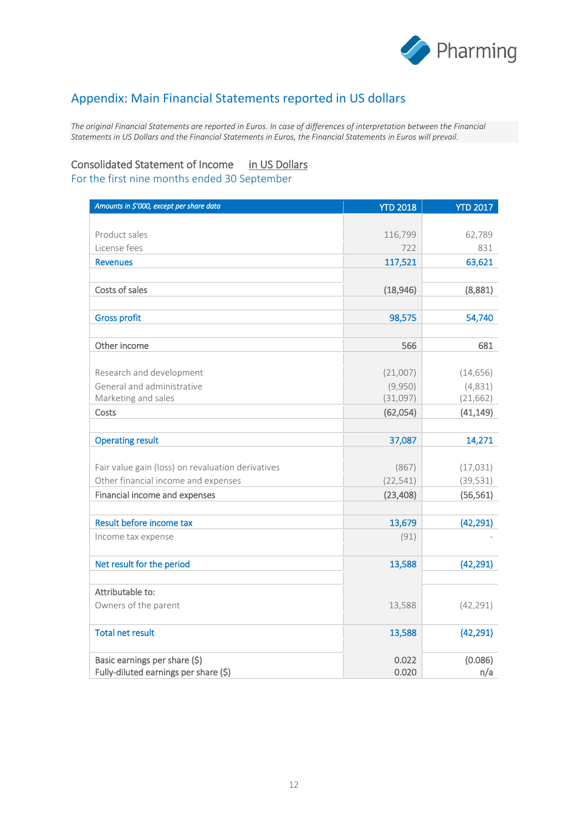

# Appendix: Main Financial Statements reported in US dollars

*The original Financial Statements are reported in Euros. In case of differences of interpretation between the Financial Statements in US Dollars and the Financial Statements in Euros, the Financial Statements in Euros will prevail.*

## Consolidated Statement of Income in US Dollars

| Amounts in \$'000, except per share data          | <b>YTD 2018</b>     | <b>YTD 2017</b> |
|---------------------------------------------------|---------------------|-----------------|
|                                                   |                     |                 |
| Product sales                                     | 116,799             | 62,789          |
| License fees                                      | 722                 | 831             |
| <b>Revenues</b>                                   | 117,521             | 63,621          |
|                                                   |                     |                 |
| Costs of sales                                    | (18, 946)           | (8,881)         |
|                                                   |                     |                 |
| <b>Gross profit</b>                               | 98,575              | 54,740          |
|                                                   |                     |                 |
| Other income                                      | 566                 | 681             |
|                                                   |                     |                 |
| Research and development                          | (21,007)            | (14, 656)       |
| General and administrative<br>Marketing and sales | (9,950)<br>(31,097) | (4,831)         |
|                                                   |                     | (21, 662)       |
| Costs                                             | (62,054)            | (41, 149)       |
| <b>Operating result</b>                           | 37,087              | 14,271          |
| Fair value gain (loss) on revaluation derivatives | (867)               | (17, 031)       |
| Other financial income and expenses               | (22, 541)           | (39, 531)       |
| Financial income and expenses                     | (23, 408)           | (56, 561)       |
|                                                   |                     |                 |
| Result before income tax                          | 13,679              | (42, 291)       |
| Income tax expense                                | (91)                |                 |
| Net result for the period                         | 13,588              | (42, 291)       |
|                                                   |                     |                 |
| Attributable to:                                  |                     |                 |
| Owners of the parent                              | 13,588              | (42, 291)       |
| <b>Total net result</b>                           | 13,588              | (42, 291)       |
| Basic earnings per share (\$)                     | 0.022               | (0.086)         |
| Fully-diluted earnings per share (\$)             | 0.020               | n/a             |